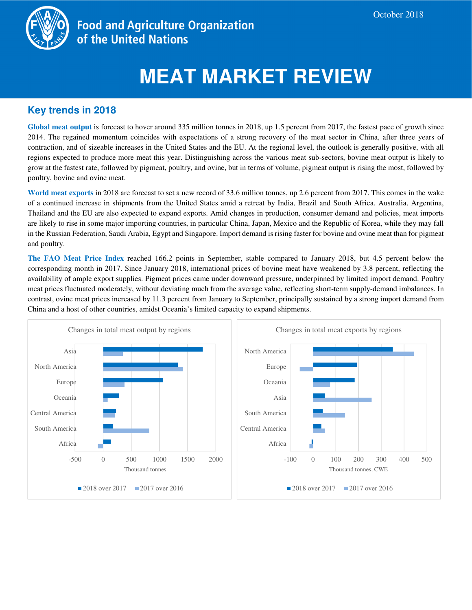

**Food and Agriculture Organization** of the United Nations

# **MEAT MARKET REVIEW**

# **Key trends in 2018**

**Global meat output** is forecast to hover around 335 million tonnes in 2018, up 1.5 percent from 2017, the fastest pace of growth since 2014. The regained momentum coincides with expectations of a strong recovery of the meat sector in China, after three years of contraction, and of sizeable increases in the United States and the EU. At the regional level, the outlook is generally positive, with all regions expected to produce more meat this year. Distinguishing across the various meat sub-sectors, bovine meat output is likely to grow at the fastest rate, followed by pigmeat, poultry, and ovine, but in terms of volume, pigmeat output is rising the most, followed by poultry, bovine and ovine meat.

**World meat exports** in 2018 are forecast to set a new record of 33.6 million tonnes, up 2.6 percent from 2017. This comes in the wake of a continued increase in shipments from the United States amid a retreat by India, Brazil and South Africa. Australia, Argentina, Thailand and the EU are also expected to expand exports. Amid changes in production, consumer demand and policies, meat imports are likely to rise in some major importing countries, in particular China, Japan, Mexico and the Republic of Korea, while they may fall in the Russian Federation, Saudi Arabia, Egypt and Singapore. Import demand is rising faster for bovine and ovine meat than for pigmeat and poultry.

**The FAO Meat Price Index** reached 166.2 points in September, stable compared to January 2018, but 4.5 percent below the corresponding month in 2017. Since January 2018, international prices of bovine meat have weakened by 3.8 percent, reflecting the availability of ample export supplies. Pigmeat prices came under downward pressure, underpinned by limited import demand. Poultry meat prices fluctuated moderately, without deviating much from the average value, reflecting short-term supply-demand imbalances. In contrast, ovine meat prices increased by 11.3 percent from January to September, principally sustained by a strong import demand from China and a host of other countries, amidst Oceania's limited capacity to expand shipments.

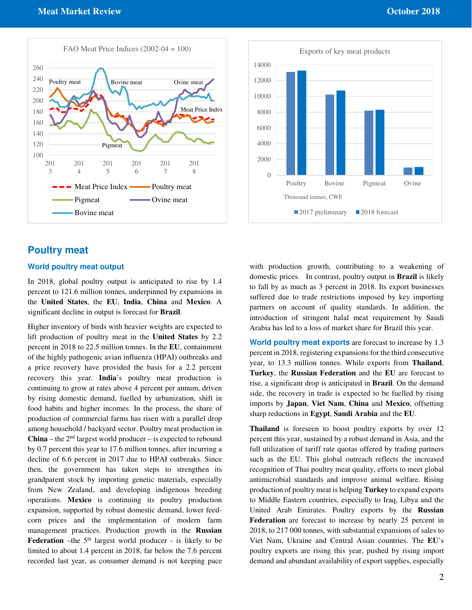



### **Poultry meat**

#### **World poultry meat output**

In 2018, global poultry output is anticipated to rise by 1.4 percent to 121.6 million tonnes, underpinned by expansions in the **United States**, the **EU**, **India**, **China** and **Mexico**. A significant decline in output is forecast for **Brazil**.

Higher inventory of birds with heavier weights are expected to lift production of poultry meat in the **United States** by 2.2 percent in 2018 to 22.5 million tonnes. In the **EU**, containment of the highly pathogenic avian influenza (HPAI) outbreaks and a price recovery have provided the basis for a 2.2 percent recovery this year. **India**'s poultry meat production is continuing to grow at rates above 4 percent per annum, driven by rising domestic demand, fuelled by urbanization, shift in food habits and higher incomes. In the process, the share of production of commercial farms has risen with a parallel drop among household / backyard sector. Poultry meat production in **China** – the  $2<sup>nd</sup>$  largest world producer – is expected to rebound by 0.7 percent this year to 17.6 million tonnes, after incurring a decline of 6.6 percent in 2017 due to HPAI outbreaks. Since then, the government has taken steps to strengthen its grandparent stock by importing genetic materials, especially from New Zealand, and developing indigenous breeding operations. **Mexico** is continuing its poultry production expansion, supported by robust domestic demand, lower feedcorn prices and the implementation of modern farm management practices. Production growth in the **Russian Federation** –the  $5<sup>th</sup>$  largest world producer - is likely to be limited to about 1.4 percent in 2018, far below the 7.6 percent recorded last year, as consumer demand is not keeping pace

with production growth, contributing to a weakening of domestic prices. In contrast, poultry output in **Brazil** is likely to fall by as much as 3 percent in 2018. Its export businesses suffered due to trade restrictions imposed by key importing partners on account of quality standards. In addition, the introduction of stringent halal meat requirement by Saudi Arabia has led to a loss of market share for Brazil this year.

**World poultry meat exports** are forecast to increase by 1.3 percent in 2018, registering expansions for the third consecutive year, to 13.3 million tonnes. While exports from **Thailand**, **Turkey**, the **Russian Federation** and the **EU** are forecast to rise, a significant drop is anticipated in **Brazil**. On the demand side, the recovery in trade is expected to be fuelled by rising imports by **Japan**, **Viet Nam**, **China** and **Mexico**, offsetting sharp reductions in **Egypt**, **Saudi Arabia** and the **EU**.

**Thailand** is foreseen to boost poultry exports by over 12 percent this year, sustained by a robust demand in Asia, and the full utilization of tariff rate quotas offered by trading partners such as the EU. This global outreach reflects the increased recognition of Thai poultry meat quality, efforts to meet global antimicrobial standards and improve animal welfare. Rising production of poultry meat is helping **Turkey** to expand exports to Middle Eastern countries, especially to Iraq, Libya and the United Arab Emirates. Poultry exports by the **Russian Federation** are forecast to increase by nearly 25 percent in 2018, to 217 000 tonnes, with substantial expansions of sales to Viet Nam, Ukraine and Central Asian countries. The **EU**'s poultry exports are rising this year, pushed by rising import demand and abundant availability of export supplies, especially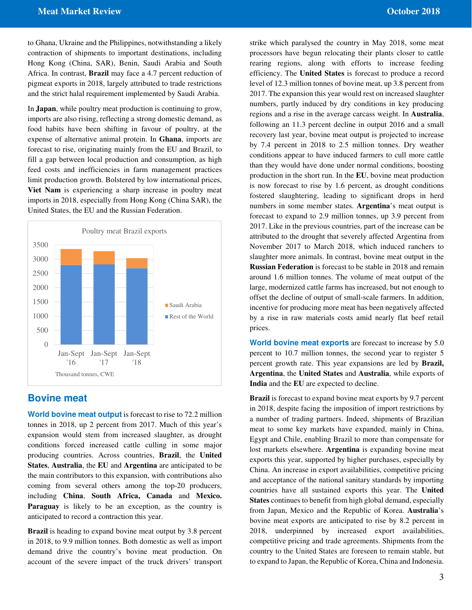to Ghana, Ukraine and the Philippines, notwithstanding a likely contraction of shipments to important destinations, including Hong Kong (China, SAR), Benin, Saudi Arabia and South Africa. In contrast, **Brazil** may face a 4.7 percent reduction of pigmeat exports in 2018, largely attributed to trade restrictions and the strict halal requirement implemented by Saudi Arabia.

In **Japan**, while poultry meat production is continuing to grow, imports are also rising, reflecting a strong domestic demand, as food habits have been shifting in favour of poultry, at the expense of alternative animal protein. In **Ghana**, imports are forecast to rise, originating mainly from the EU and Brazil, to fill a gap between local production and consumption, as high feed costs and inefficiencies in farm management practices limit production growth. Bolstered by low international prices, **Viet Nam** is experiencing a sharp increase in poultry meat imports in 2018, especially from Hong Kong (China SAR), the United States, the EU and the Russian Federation.



#### **Bovine meat**

**World bovine meat output** is forecast to rise to 72.2 million tonnes in 2018, up 2 percent from 2017. Much of this year's expansion would stem from increased slaughter, as drought conditions forced increased cattle culling in some major producing countries. Across countries, **Brazil**, the **United States**, **Australia**, the **EU** and **Argentina** are anticipated to be the main contributors to this expansion, with contributions also coming from several others among the top-20 producers, including **China**, **South Africa, Canada** and **Mexico. Paraguay** is likely to be an exception, as the country is anticipated to record a contraction this year.

**Brazil** is heading to expand bovine meat output by 3.8 percent in 2018, to 9.9 million tonnes. Both domestic as well as import demand drive the country's bovine meat production. On account of the severe impact of the truck drivers' transport

strike which paralysed the country in May 2018, some meat processors have begun relocating their plants closer to cattle rearing regions, along with efforts to increase feeding efficiency. The **United States** is forecast to produce a record level of 12.3 million tonnes of bovine meat, up 3.8 percent from 2017. The expansion this year would rest on increased slaughter numbers, partly induced by dry conditions in key producing regions and a rise in the average carcass weight. In **Australia**, following an 11.3 percent decline in output 2016 and a small recovery last year, bovine meat output is projected to increase by 7.4 percent in 2018 to 2.5 million tonnes. Dry weather conditions appear to have induced farmers to cull more cattle than they would have done under normal conditions, boosting production in the short run. In the **EU**, bovine meat production is now forecast to rise by 1.6 percent, as drought conditions fostered slaughtering, leading to significant drops in herd numbers in some member states. **Argentina**'s meat output is forecast to expand to 2.9 million tonnes, up 3.9 percent from 2017. Like in the previous countries, part of the increase can be attributed to the drought that severely affected Argentina from November 2017 to March 2018, which induced ranchers to slaughter more animals. In contrast, bovine meat output in the **Russian Federation** is forecast to be stable in 2018 and remain around 1.6 million tonnes. The volume of meat output of the large, modernized cattle farms has increased, but not enough to offset the decline of output of small-scale farmers. In addition, incentive for producing more meat has been negatively affected by a rise in raw materials costs amid nearly flat beef retail prices.

**World bovine meat exports** are forecast to increase by 5.0 percent to 10.7 million tonnes, the second year to register 5 percent growth rate. This year expansions are led by **Brazil, Argentina**, the **United States** and **Australia**, while exports of **India** and the **EU** are expected to decline.

**Brazil** is forecast to expand bovine meat exports by 9.7 percent in 2018, despite facing the imposition of import restrictions by a number of trading partners. Indeed, shipments of Brazilian meat to some key markets have expanded, mainly in China, Egypt and Chile, enabling Brazil to more than compensate for lost markets elsewhere. **Argentina** is expanding bovine meat exports this year, supported by higher purchases, especially by China. An increase in export availabilities, competitive pricing and acceptance of the national sanitary standards by importing countries have all sustained exports this year. The **United States** continues to benefit from high global demand, especially from Japan, Mexico and the Republic of Korea. **Australia**'s bovine meat exports are anticipated to rise by 8.2 percent in 2018, underpinned by increased export availabilities, competitive pricing and trade agreements. Shipments from the country to the United States are foreseen to remain stable, but to expand to Japan, the Republic of Korea, China and Indonesia.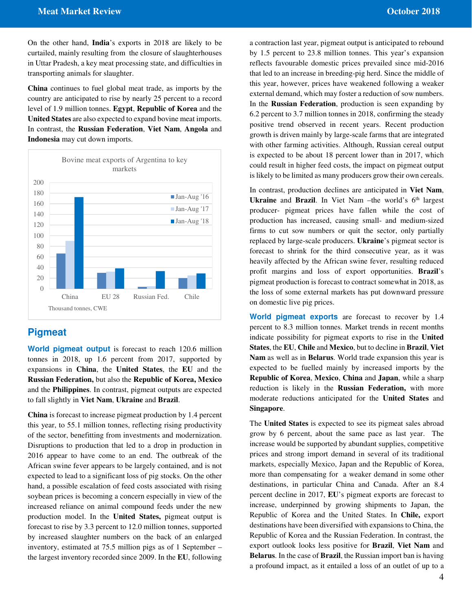On the other hand, **India**'s exports in 2018 are likely to be curtailed, mainly resulting from the closure of slaughterhouses in Uttar Pradesh, a key meat processing state, and difficulties in transporting animals for slaughter.

**China** continues to fuel global meat trade, as imports by the country are anticipated to rise by nearly 25 percent to a record level of 1.9 million tonnes. **Egypt**, **Republic of Korea** and the **United States** are also expected to expand bovine meat imports. In contrast, the **Russian Federation**, **Viet Nam**, **Angola** and **Indonesia** may cut down imports.



## **Pigmeat**

**World pigmeat output** is forecast to reach 120.6 million tonnes in 2018, up 1.6 percent from 2017, supported by expansions in **China**, the **United States**, the **EU** and the **Russian Federation,** but also the **Republic of Korea, Mexico**  and the **Philippines**. In contrast, pigmeat outputs are expected to fall slightly in **Viet Nam**, **Ukraine** and **Brazil**.

**China** is forecast to increase pigmeat production by 1.4 percent this year, to 55.1 million tonnes, reflecting rising productivity of the sector, benefitting from investments and modernization. Disruptions to production that led to a drop in production in 2016 appear to have come to an end. The outbreak of the African swine fever appears to be largely contained, and is not expected to lead to a significant loss of pig stocks. On the other hand, a possible escalation of feed costs associated with rising soybean prices is becoming a concern especially in view of the increased reliance on animal compound feeds under the new production model. In the **United States,** pigmeat output is forecast to rise by 3.3 percent to 12.0 million tonnes, supported by increased slaughter numbers on the back of an enlarged inventory, estimated at 75.5 million pigs as of 1 September – the largest inventory recorded since 2009. In the **EU**, following

a contraction last year, pigmeat output is anticipated to rebound by 1.5 percent to 23.8 million tonnes. This year's expansion reflects favourable domestic prices prevailed since mid-2016 that led to an increase in breeding-pig herd. Since the middle of this year, however, prices have weakened following a weaker external demand, which may foster a reduction of sow numbers. In the **Russian Federation**, production is seen expanding by 6.2 percent to 3.7 million tonnes in 2018, confirming the steady positive trend observed in recent years. Recent production growth is driven mainly by large-scale farms that are integrated with other farming activities. Although, Russian cereal output is expected to be about 18 percent lower than in 2017, which could result in higher feed costs, the impact on pigmeat output is likely to be limited as many producers grow their own cereals.

In contrast, production declines are anticipated in **Viet Nam**, **Ukraine** and **Brazil**. In Viet Nam –the world's 6<sup>th</sup> largest producer- pigmeat prices have fallen while the cost of production has increased, causing small- and medium-sized firms to cut sow numbers or quit the sector, only partially replaced by large-scale producers. **Ukraine**'s pigmeat sector is forecast to shrink for the third consecutive year, as it was heavily affected by the African swine fever, resulting reduced profit margins and loss of export opportunities. **Brazil**'s pigmeat production is forecast to contract somewhat in 2018, as the loss of some external markets has put downward pressure on domestic live pig prices.

**World pigmeat exports** are forecast to recover by 1.4 percent to 8.3 million tonnes. Market trends in recent months indicate possibility for pigmeat exports to rise in the **United States**, the **EU**, **Chile** and **Mexico**, but to decline in **Brazil**, **Viet Nam** as well as in **Belarus**. World trade expansion this year is expected to be fuelled mainly by increased imports by the **Republic of Korea**, **Mexico**, **China** and **Japan**, while a sharp reduction is likely in the **Russian Federation,** with more moderate reductions anticipated for the **United States** and **Singapore**.

The **United States** is expected to see its pigmeat sales abroad grow by 6 percent, about the same pace as last year. The increase would be supported by abundant supplies, competitive prices and strong import demand in several of its traditional markets, especially Mexico, Japan and the Republic of Korea, more than compensating for a weaker demand in some other destinations, in particular China and Canada. After an 8.4 percent decline in 2017, **EU**'s pigmeat exports are forecast to increase, underpinned by growing shipments to Japan, the Republic of Korea and the United States. In **Chile,** export destinations have been diversified with expansions to China, the Republic of Korea and the Russian Federation. In contrast, the export outlook looks less positive for **Brazil**, **Viet Nam** and **Belarus**. In the case of **Brazil**, the Russian import ban is having a profound impact, as it entailed a loss of an outlet of up to a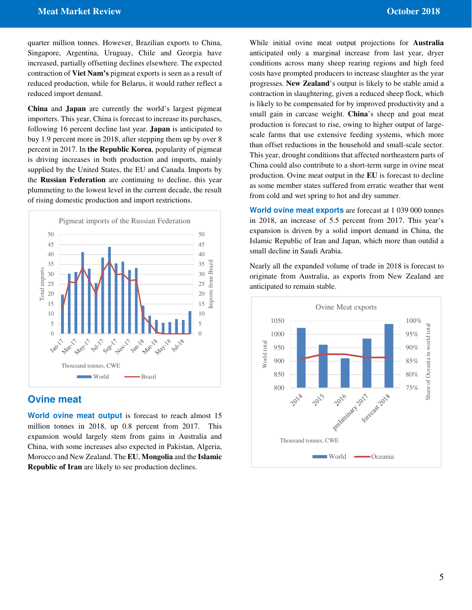quarter million tonnes. However, Brazilian exports to China, Singapore, Argentina, Uruguay, Chile and Georgia have increased, partially offsetting declines elsewhere. The expected contraction of **Viet Nam's** pigmeat exports is seen as a result of reduced production, while for Belarus, it would rather reflect a reduced import demand.

**China** and **Japan** are currently the world's largest pigmeat importers. This year, China is forecast to increase its purchases, following 16 percent decline last year. **Japan** is anticipated to buy 1.9 percent more in 2018, after stepping them up by over 8 percent in 2017. In **the Republic Korea**, popularity of pigmeat is driving increases in both production and imports, mainly supplied by the United States, the EU and Canada. Imports by the **Russian Federation** are continuing to decline, this year plummeting to the lowest level in the current decade, the result of rising domestic production and import restrictions.



## **Ovine meat**

**World ovine meat output** is forecast to reach almost 15 million tonnes in 2018, up 0.8 percent from 2017. This expansion would largely stem from gains in Australia and China, with some increases also expected in Pakistan, Algeria, Morocco and New Zealand. The **EU**, **Mongolia** and the **Islamic Republic of Iran** are likely to see production declines.

While initial ovine meat output projections for **Australia** anticipated only a marginal increase from last year, dryer conditions across many sheep rearing regions and high feed costs have prompted producers to increase slaughter as the year progresses. **New Zealand**'s output is likely to be stable amid a contraction in slaughtering, given a reduced sheep flock, which is likely to be compensated for by improved productivity and a small gain in carcase weight. **China**'s sheep and goat meat production is forecast to rise, owing to higher output of largescale farms that use extensive feeding systems, which more than offset reductions in the household and small-scale sector. This year, drought conditions that affected northeastern parts of China could also contribute to a short-term surge in ovine meat production. Ovine meat output in the **EU** is forecast to decline as some member states suffered from erratic weather that went from cold and wet spring to hot and dry summer.

**World ovine meat exports** are forecast at 1 039 000 tonnes in 2018, an increase of 5.5 percent from 2017. This year's expansion is driven by a solid import demand in China, the Islamic Republic of Iran and Japan, which more than outdid a small decline in Saudi Arabia.

Nearly all the expanded volume of trade in 2018 is forecast to originate from Australia, as exports from New Zealand are anticipated to remain stable.

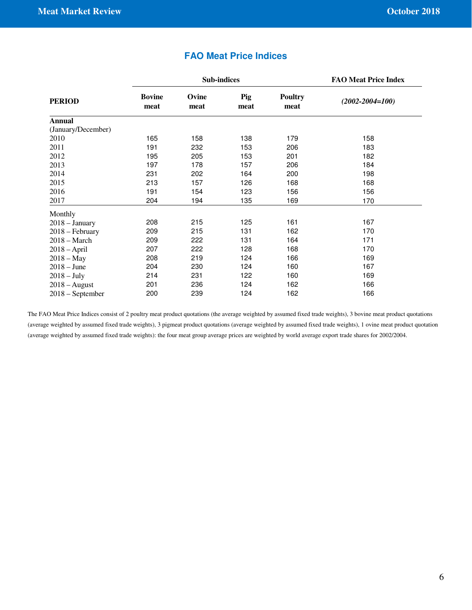|                    |                       | <b>Sub-indices</b> | <b>FAO Meat Price Index</b> |                        |                       |
|--------------------|-----------------------|--------------------|-----------------------------|------------------------|-----------------------|
| <b>PERIOD</b>      | <b>Bovine</b><br>meat | Ovine<br>meat      | Pig<br>meat                 | <b>Poultry</b><br>meat | $(2002 - 2004 = 100)$ |
| <b>Annual</b>      |                       |                    |                             |                        |                       |
| (January/December) |                       |                    |                             |                        |                       |
| 2010               | 165                   | 158                | 138                         | 179                    | 158                   |
| 2011               | 191                   | 232                | 153                         | 206                    | 183                   |
| 2012               | 195                   | 205                | 153                         | 201                    | 182                   |
| 2013               | 197                   | 178                | 157                         | 206                    | 184                   |
| 2014               | 231                   | 202                | 164                         | 200                    | 198                   |
| 2015               | 213                   | 157                | 126                         | 168                    | 168                   |
| 2016               | 191                   | 154                | 123                         | 156                    | 156                   |
| 2017               | 204                   | 194                | 135                         | 169                    | 170                   |
| Monthly            |                       |                    |                             |                        |                       |
| $2018 - January$   | 208                   | 215                | 125                         | 161                    | 167                   |
| $2018$ – February  | 209                   | 215                | 131                         | 162                    | 170                   |
| $2018 - March$     | 209                   | 222                | 131                         | 164                    | 171                   |
| $2018 - April$     | 207                   | 222                | 128                         | 168                    | 170                   |
| $2018 - May$       | 208                   | 219                | 124                         | 166                    | 169                   |
| $2018 - June$      | 204                   | 230                | 124                         | 160                    | 167                   |
| $2018 - July$      | 214                   | 231                | 122                         | 160                    | 169                   |
| $2018 - August$    | 201                   | 236                | 124                         | 162                    | 166                   |
| 2018 – September   | 200                   | 239                | 124                         | 162                    | 166                   |

## **FAO Meat Price Indices**

The FAO Meat Price Indices consist of 2 poultry meat product quotations (the average weighted by assumed fixed trade weights), 3 bovine meat product quotations (average weighted by assumed fixed trade weights), 3 pigmeat product quotations (average weighted by assumed fixed trade weights), 1 ovine meat product quotation (average weighted by assumed fixed trade weights): the four meat group average prices are weighted by world average export trade shares for 2002/2004.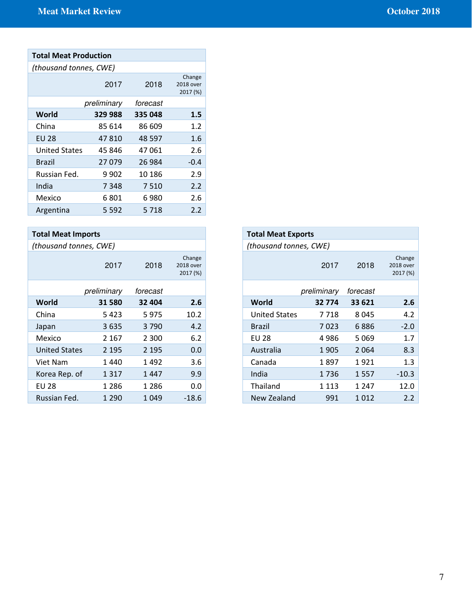| <b>Total Meat Production</b> |             |          |                                 |  |  |  |  |
|------------------------------|-------------|----------|---------------------------------|--|--|--|--|
| (thousand tonnes, CWE)       |             |          |                                 |  |  |  |  |
|                              | 2017        | 2018     | Change<br>2018 over<br>2017 (%) |  |  |  |  |
|                              | preliminary | forecast |                                 |  |  |  |  |
| World                        | 329 988     | 335 048  | 1.5                             |  |  |  |  |
| China                        | 85 614      | 86 609   | 1.2                             |  |  |  |  |
| <b>EU 28</b>                 | 47810       | 48 597   | 1.6                             |  |  |  |  |
| <b>United States</b>         | 45 846      | 47 061   | 2.6                             |  |  |  |  |
| Brazil                       | 27079       | 26 984   | $-0.4$                          |  |  |  |  |
| Russian Fed.                 | 9 9 0 2     | 10 186   | 2.9                             |  |  |  |  |
| India                        | 7348        | 7 5 1 0  | 2.2                             |  |  |  |  |
| Mexico                       | 6 801       | 6 980    | 2.6                             |  |  |  |  |
| Argentina                    | 5 592       | 5 7 1 8  | 2.2                             |  |  |  |  |

| <b>Total Meat Imports</b> |             |          |                                 |
|---------------------------|-------------|----------|---------------------------------|
| (thousand tonnes, CWE)    |             |          |                                 |
|                           | 2017        | 2018     | Change<br>2018 over<br>2017 (%) |
|                           | preliminary | forecast |                                 |
| World                     | 31580       | 32 404   | 2.6                             |
| China                     | 5423        | 5975     | 10.2                            |
| Japan                     | 3635        | 3790     | 4.2                             |
| Mexico                    | 2 1 6 7     | 2 3 0 0  | 6.2                             |
| <b>United States</b>      | 2 1 9 5     | 2 1 9 5  | 0.0                             |
| Viet Nam                  | 1440        | 1492     | 3.6                             |
| Korea Rep. of             | 1 3 1 7     | 1447     | 9.9                             |
| <b>EU 28</b>              | 1 2 8 6     | 1 2 8 6  | 0.0                             |
| Russian Fed.              | 1 2 9 0     | 1 0 4 9  | $-18.6$                         |

| <b>Total Meat Imports</b> |             |          |                                 |
|---------------------------|-------------|----------|---------------------------------|
| (thousand tonnes, CWE)    |             |          |                                 |
|                           | 2017        | 2018     | Change<br>2018 over<br>2017 (%) |
|                           | preliminary | forecast |                                 |
| World                     | 31 580      | 32 404   | 2.6                             |
| China                     | 5423        | 5975     | 10.2                            |
| Japan                     | 3635        | 3790     | 4.2                             |
| Mexico                    | 2 1 6 7     | 2 3 0 0  | 6.2                             |
| <b>United States</b>      | 2 1 9 5     | 2 1 9 5  | 0.0                             |
| Viet Nam                  | 1440        | 1492     | 3.6                             |
| Korea Rep. of             | 1 3 1 7     | 1447     | 9.9                             |
| <b>EU 28</b>              | 1 2 8 6     | 1 2 8 6  | 0.0                             |
| Russian Fed.              | 1 2 9 0     | 1 0 4 9  | $-18.6$                         |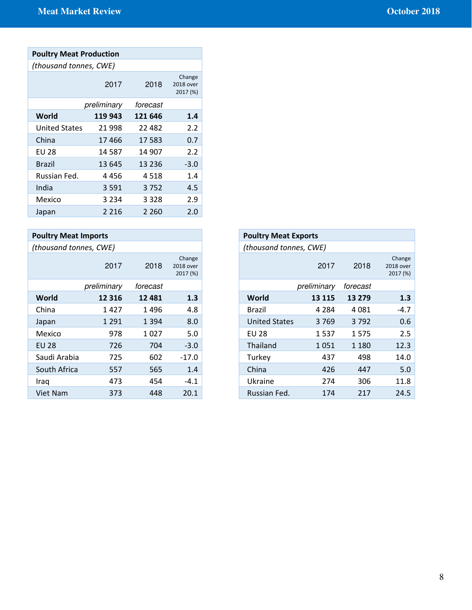| <b>Poultry Meat Production</b> |             |          |                                 |  |  |  |
|--------------------------------|-------------|----------|---------------------------------|--|--|--|
| (thousand tonnes, CWE)         |             |          |                                 |  |  |  |
|                                | 2017        | 2018     | Change<br>2018 over<br>2017 (%) |  |  |  |
|                                | preliminary | forecast |                                 |  |  |  |
| World                          | 119 943     | 121 646  | 1.4                             |  |  |  |
| <b>United States</b>           | 21998       | 22 482   | 2.2                             |  |  |  |
| China                          | 17 466      | 17583    | 0.7                             |  |  |  |
| EU 28                          | 14 587      | 14 907   | 2.2                             |  |  |  |
| Brazil                         | 13 645      | 13 2 36  | $-3.0$                          |  |  |  |
| Russian Fed.                   | 4 4 5 6     | 4518     | 1.4                             |  |  |  |
| India                          | 3 5 9 1     | 3752     | 4.5                             |  |  |  |
| Mexico                         | 3 2 3 4     | 3 328    | 2.9                             |  |  |  |
| Japan                          | 2 2 1 6     | 2 260    | 2.0                             |  |  |  |

| <b>Poultry Meat Imports</b> |             |          |                                 |
|-----------------------------|-------------|----------|---------------------------------|
| (thousand tonnes, CWE)      |             |          |                                 |
|                             | 2017        | 2018     | Change<br>2018 over<br>2017 (%) |
|                             | preliminary | forecast |                                 |
| World                       | 12 3 16     | 12 4 8 1 | 1.3                             |
| China                       | 1427        | 1496     | 4.8                             |
| Japan                       | 1 2 9 1     | 1 3 9 4  | 8.0                             |
| Mexico                      | 978         | 1027     | 5.0                             |
| <b>EU 28</b>                | 726         | 704      | $-3.0$                          |
| Saudi Arabia                | 725         | 602      | $-17.0$                         |
| South Africa                | 557         | 565      | 1.4                             |
| Iraq                        | 473         | 454      | $-4.1$                          |
| Viet Nam                    | 373         | 448      | 20.1                            |

| 2018     | Change<br>2018 over<br>2017 (%) |                      | 2017    | 2018                                                                 | Change<br>2018 over<br>2017 (%) |
|----------|---------------------------------|----------------------|---------|----------------------------------------------------------------------|---------------------------------|
| forecast |                                 |                      |         | forecast                                                             |                                 |
| 12 4 8 1 | 1.3                             | World                | 13 1 15 | 13 279                                                               | 1.3                             |
| 1496     | 4.8                             | <b>Brazil</b>        | 4 2 8 4 | 4 0 8 1                                                              | $-4.7$                          |
| 1 3 9 4  | 8.0                             | <b>United States</b> | 3769    | 3792                                                                 | 0.6                             |
| 1027     | 5.0                             | <b>EU 28</b>         | 1537    | 1575                                                                 | 2.5                             |
| 704      | $-3.0$                          | Thailand             | 1051    | 1 1 8 0                                                              | 12.3                            |
| 602      | $-17.0$                         | Turkey               | 437     | 498                                                                  | 14.0                            |
| 565      | 1.4                             | China                | 426     | 447                                                                  | 5.0                             |
| 454      | $-4.1$                          | Ukraine              | 274     | 306                                                                  | 11.8                            |
| 448      | 20.1                            | Russian Fed.         | 174     | 217                                                                  | 24.5                            |
|          |                                 |                      |         | <b>Poultry Meat Exports</b><br>(thousand tonnes, CWE)<br>preliminary |                                 |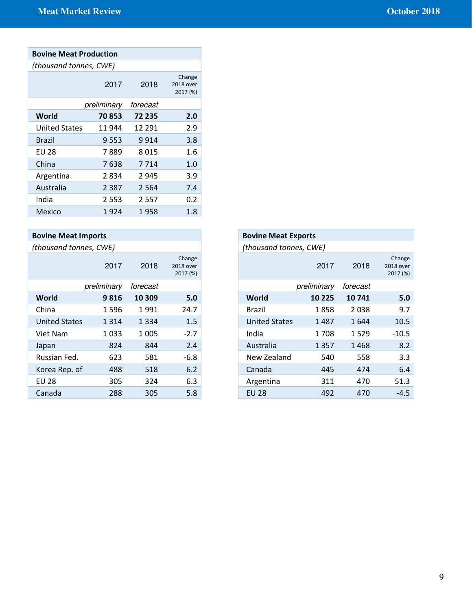| <b>Bovine Meat Production</b> |             |          |                                 |  |  |  |  |
|-------------------------------|-------------|----------|---------------------------------|--|--|--|--|
| (thousand tonnes, CWE)        |             |          |                                 |  |  |  |  |
|                               | 2017        | 2018     | Change<br>2018 over<br>2017 (%) |  |  |  |  |
|                               | preliminary | forecast |                                 |  |  |  |  |
| World                         | 70853       | 72 235   | 2.0                             |  |  |  |  |
| <b>United States</b>          | 11 944      | 12 291   | 2.9                             |  |  |  |  |
| Brazil                        | 9 553       | 9 9 1 4  | 3.8                             |  |  |  |  |
| EU 28                         | 7 889       | 8 0 1 5  | 1.6                             |  |  |  |  |
| China                         | 7638        | 7 7 1 4  | 1.0                             |  |  |  |  |
| Argentina                     | 2 834       | 2 9 4 5  | 3.9                             |  |  |  |  |
| Australia                     | 2 3 8 7     | 2 5 6 4  | 7.4                             |  |  |  |  |
| India                         | 2 553       | 2 5 5 7  | 0.2                             |  |  |  |  |
| Mexico                        | 1924        | 1958     | 1.8                             |  |  |  |  |

| <b>Bovine Meat Imports</b> |             |          |                                 |
|----------------------------|-------------|----------|---------------------------------|
| (thousand tonnes, CWE)     |             |          |                                 |
|                            | 2017        | 2018     | Change<br>2018 over<br>2017 (%) |
|                            | preliminary | forecast |                                 |
| World                      | 9816        | 10 309   | 5.0                             |
| China                      | 1596        | 1991     | 24.7                            |
| <b>United States</b>       | 1 3 1 4     | 1 3 3 4  | 1.5                             |
| Viet Nam                   | 1033        | 1 0 0 5  | $-2.7$                          |
| Japan                      | 824         | 844      | 2.4                             |
| Russian Fed.               | 623         | 581      | $-6.8$                          |
| Korea Rep. of              | 488         | 518      | 6.2                             |
| <b>EU 28</b>               | 305         | 324      | 6.3                             |
| Canada                     | 288         | 305      | 5.8                             |

| nports      |          |                                 | <b>Bovine Meat Exports</b> |             |          |                                 |
|-------------|----------|---------------------------------|----------------------------|-------------|----------|---------------------------------|
| es, CWE)    |          |                                 | (thousand tonnes, CWE)     |             |          |                                 |
| 2017        | 2018     | Change<br>2018 over<br>2017 (%) |                            | 2017        | 2018     | Change<br>2018 over<br>2017 (%) |
| preliminary | forecast |                                 |                            | preliminary | forecast |                                 |
| 9816        | 10 309   | 5.0                             | World                      | 10 2 25     | 10741    | 5.0                             |
| 1596        | 1991     | 24.7                            | Brazil                     | 1858        | 2038     | 9.7                             |
| 1 3 1 4     | 1 3 3 4  | 1.5                             | <b>United States</b>       | 1487        | 1644     | 10.5                            |
| 1033        | 1 0 0 5  | $-2.7$                          | India                      | 1708        | 1529     | $-10.5$                         |
| 824         | 844      | 2.4                             | Australia                  | 1 3 5 7     | 1468     | 8.2                             |
| 623         | 581      | $-6.8$                          | New Zealand                | 540         | 558      | 3.3                             |
| 488         | 518      | 6.2                             | Canada                     | 445         | 474      | 6.4                             |
| 305         | 324      | 6.3                             | Argentina                  | 311         | 470      | 51.3                            |
| 288         | 305      | 5.8                             | <b>EU 28</b>               | 492         | 470      | $-4.5$                          |
|             |          |                                 |                            |             |          |                                 |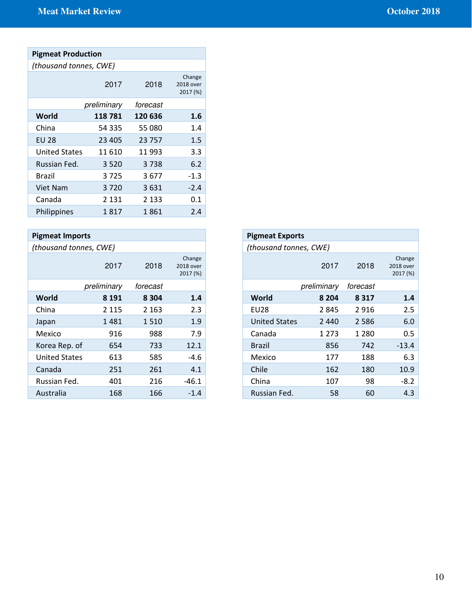# Pigmeat Production

| (thousand tonnes, CWE) |  |
|------------------------|--|
|------------------------|--|

|                      | 2017        | 2018     | Change<br>2018 over<br>2017 (%) |
|----------------------|-------------|----------|---------------------------------|
|                      | preliminary | forecast |                                 |
| World                | 118781      | 120 636  | 1.6                             |
| China                | 54 335      | 55 080   | 1.4                             |
| <b>EU 28</b>         | 23 4 05     | 23757    | 1.5                             |
| <b>United States</b> | 11 610      | 11993    | 3.3                             |
| Russian Fed.         | 3520        | 3738     | 6.2                             |
| <b>Brazil</b>        | 3725        | 3677     | $-1.3$                          |
| <b>Viet Nam</b>      | 3720        | 3631     | $-2.4$                          |
| Canada               | 2 1 3 1     | 2 1 3 3  | 0.1                             |
| Philippines          | 1817        | 1861     | 2.4                             |

| <b>Pigmeat Imports</b> |             |          |                                 |
|------------------------|-------------|----------|---------------------------------|
| (thousand tonnes, CWE) |             |          |                                 |
|                        | 2017        | 2018     | Change<br>2018 over<br>2017 (%) |
|                        | preliminary | forecast |                                 |
| World                  | 8 1 9 1     | 8 3 0 4  | 1.4                             |
| China                  | 2 1 1 5     | 2 1 6 3  | 2.3                             |
| Japan                  | 1481        | 1510     | 1.9                             |
| Mexico                 | 916         | 988      | 7.9                             |
| Korea Rep. of          | 654         | 733      | 12.1                            |
| <b>United States</b>   | 613         | 585      | $-4.6$                          |
| Canada                 | 251         | 261      | 4.1                             |
| Russian Fed.           | 401         | 216      | $-46.1$                         |
| Australia              | 168         | 166      | $-1.4$                          |

| <b>Pigmeat Imports</b>                          | <b>Pigmeat Exports</b> |             |          |  |
|-------------------------------------------------|------------------------|-------------|----------|--|
| (thousand tonnes, CWE)                          | (thousand tonnes, CWE) |             |          |  |
| Change<br>2017<br>2018<br>2018 over<br>2017 (%) |                        | 2017        | 2018     |  |
| preliminary<br>forecast                         |                        | preliminary | forecast |  |
| World<br>8 1 9 1<br>8 3 0 4<br>1.4              | World                  | 8 2 0 4     | 8 3 1 7  |  |
| 2.3<br>China<br>2 1 6 3<br>2 1 1 5              | <b>EU28</b>            | 2 8 4 5     | 2916     |  |
| 1.9<br>1481<br>1510<br>Japan                    | <b>United States</b>   | 2 4 4 0     | 2 5 8 6  |  |
| 7.9<br>916<br>988<br>Mexico                     | Canada                 | 1 2 7 3     | 1 2 8 0  |  |
| 12.1<br>Korea Rep. of<br>654<br>733             | <b>Brazil</b>          | 856         | 742      |  |
| <b>United States</b><br>613<br>585<br>$-4.6$    | Mexico                 | 177         | 188      |  |
| 4.1<br>251<br>261<br>Canada                     | Chile                  | 162         | 180      |  |
| 401<br>216<br>Russian Fed.<br>$-46.1$           | China                  | 107         | 98       |  |
| 168<br>Australia<br>166<br>$-1.4$               | Russian Fed.           | 58          | 60       |  |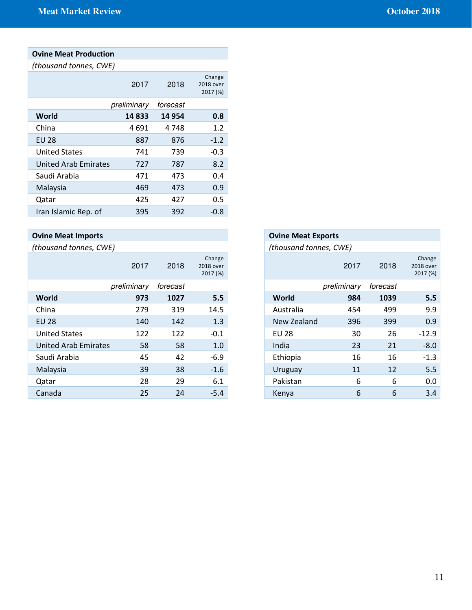| <b>Ovine Meat Production</b> |             |          |                                 |
|------------------------------|-------------|----------|---------------------------------|
| (thousand tonnes, CWE)       |             |          |                                 |
|                              | 2017        | 2018     | Change<br>2018 over<br>2017 (%) |
|                              | preliminary | forecast |                                 |
| World                        | 14833       | 14 9 54  | 0.8                             |
| China                        | 4 691       | 4 748    | 1.2                             |
| <b>EU 28</b>                 | 887         | 876      | $-1.2$                          |
| <b>United States</b>         | 741         | 739      | $-0.3$                          |
| <b>United Arab Emirates</b>  | 727         | 787      | 8.2                             |
| Saudi Arabia                 | 471         | 473      | 0.4                             |
| Malaysia                     | 469         | 473      | 0.9                             |
| Qatar                        | 425         | 427      | $0.5\,$                         |
| Iran Islamic Rep. of         | 395         | 392      | -0.8                            |

| <b>Ovine Meat Imports</b>   |             |          |                                 |
|-----------------------------|-------------|----------|---------------------------------|
| (thousand tonnes, CWE)      |             |          |                                 |
|                             | 2017        | 2018     | Change<br>2018 over<br>2017 (%) |
|                             | preliminary | forecast |                                 |
| World                       | 973         | 1027     | 5.5                             |
| China                       | 279         | 319      | 14.5                            |
| <b>EU 28</b>                | 140         | 142      | 1.3                             |
| <b>United States</b>        | 122         | 122      | $-0.1$                          |
| <b>United Arab Emirates</b> | 58          | 58       | 1.0                             |
| Saudi Arabia                | 45          | 42       | $-6.9$                          |
| Malaysia                    | 39          | 38       | $-1.6$                          |
| Qatar                       | 28          | 29       | 6.1                             |
| Canada                      | 25          | 24       | $-5.4$                          |

| 2017        | 2018     | Change<br>2018 over<br>2017 (%) |
|-------------|----------|---------------------------------|
| preliminary | forecast |                                 |
| 973         | 1027     | 5.5                             |
| 279         | 319      | 14.5                            |
| 140         | 142      | 1.3                             |
| 122         | 122      | $-0.1$                          |
| 58          | 58       | 1.0                             |
| 45          | 42       | $-6.9$                          |
| 39          | 38       | $-1.6$                          |
| 28          | 29       | 6.1                             |
| 25          | 24       | $-5.4$                          |
|             |          |                                 |